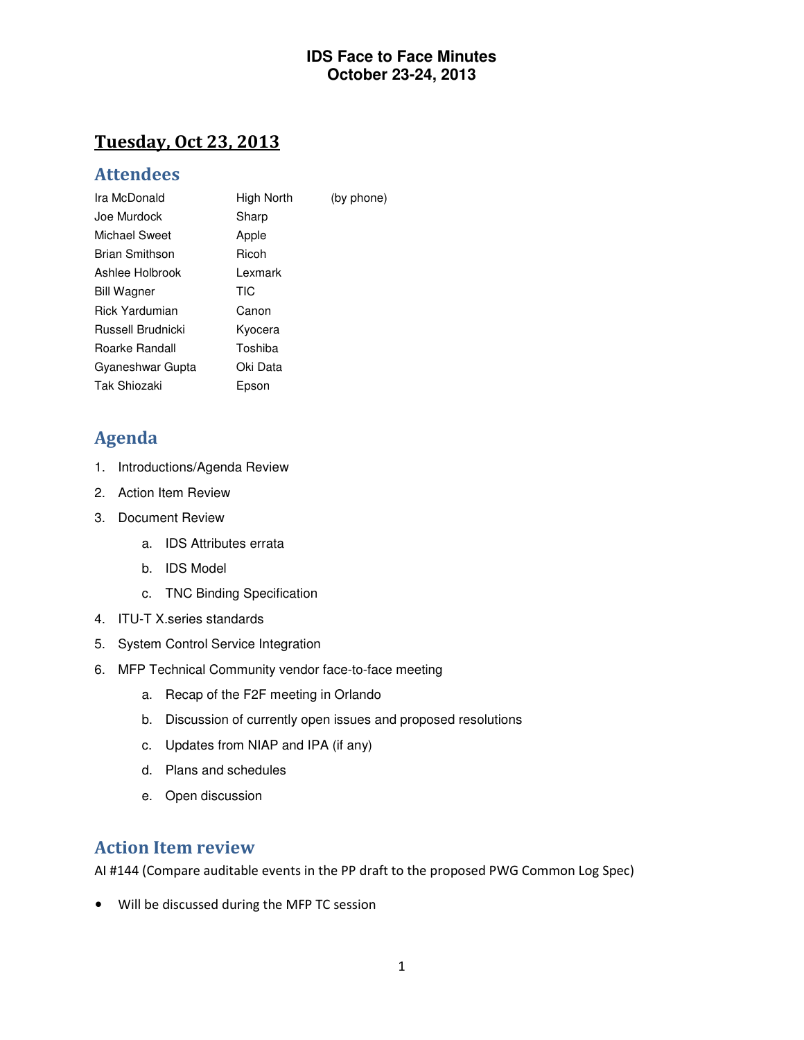## Tuesday, Oct 23, 2013

### Attendees

| Ira McDonald          | High North | (by phone) |
|-----------------------|------------|------------|
| Joe Murdock           | Sharp      |            |
| Michael Sweet         | Apple      |            |
| <b>Brian Smithson</b> | Ricoh      |            |
| Ashlee Holbrook       | Lexmark    |            |
| <b>Bill Wagner</b>    | TIC        |            |
| <b>Rick Yardumian</b> | Canon      |            |
| Russell Brudnicki     | Kyocera    |            |
| Roarke Randall        | Toshiba    |            |
| Gyaneshwar Gupta      | Oki Data   |            |
| Tak Shiozaki          | Epson      |            |

## Agenda

- 1. Introductions/Agenda Review
- 2. Action Item Review
- 3. Document Review
	- a. IDS Attributes errata
	- b. IDS Model
	- c. TNC Binding Specification
- 4. ITU-T X.series standards
- 5. System Control Service Integration
- 6. MFP Technical Community vendor face-to-face meeting
	- a. Recap of the F2F meeting in Orlando
	- b. Discussion of currently open issues and proposed resolutions
	- c. Updates from NIAP and IPA (if any)
	- d. Plans and schedules
	- e. Open discussion

## Action Item review

AI #144 (Compare auditable events in the PP draft to the proposed PWG Common Log Spec)

• Will be discussed during the MFP TC session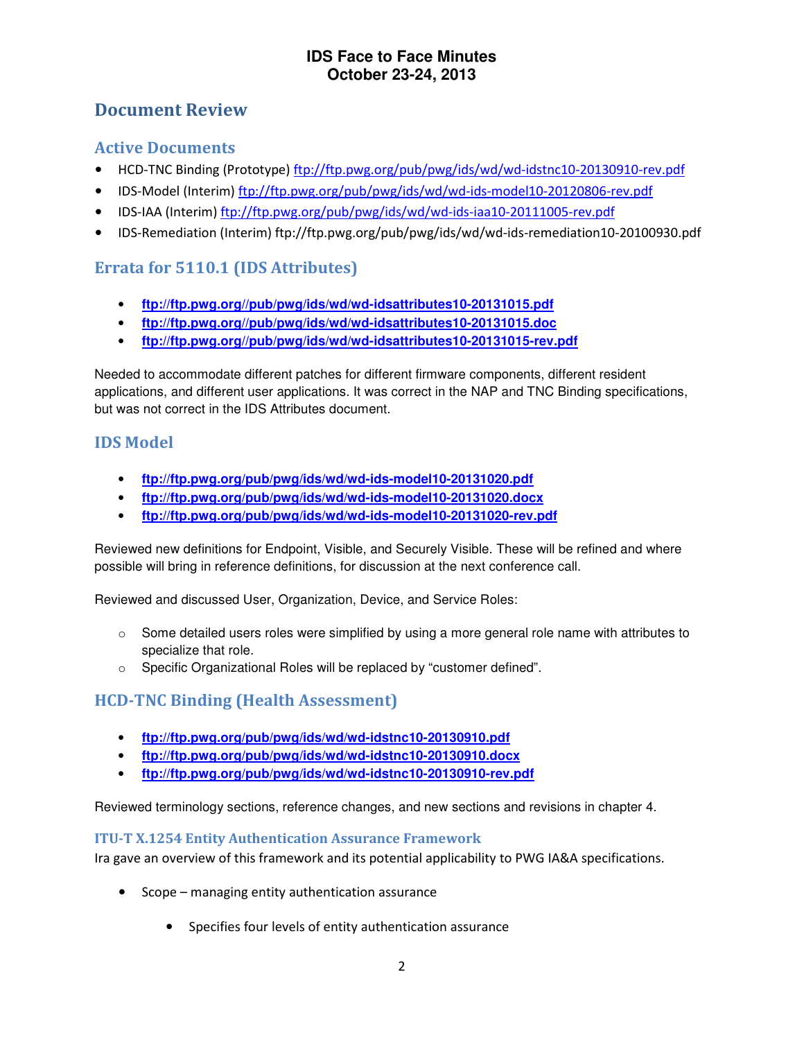## Document Review

#### Active Documents

- HCD-TNC Binding (Prototype) ftp://ftp.pwg.org/pub/pwg/ids/wd/wd-idstnc10-20130910-rev.pdf
- IDS-Model (Interim) ftp://ftp.pwg.org/pub/pwg/ids/wd/wd-ids-model10-20120806-rev.pdf
- IDS-IAA (Interim) ftp://ftp.pwg.org/pub/pwg/ids/wd/wd-ids-iaa10-20111005-rev.pdf
- IDS-Remediation (Interim) ftp://ftp.pwg.org/pub/pwg/ids/wd/wd-ids-remediation10-20100930.pdf

### Errata for 5110.1 (IDS Attributes)

- **ftp://ftp.pwg.org//pub/pwg/ids/wd/wd-idsattributes10-20131015.pdf**
- **ftp://ftp.pwg.org//pub/pwg/ids/wd/wd-idsattributes10-20131015.doc**
- **ftp://ftp.pwg.org//pub/pwg/ids/wd/wd-idsattributes10-20131015-rev.pdf**

Needed to accommodate different patches for different firmware components, different resident applications, and different user applications. It was correct in the NAP and TNC Binding specifications, but was not correct in the IDS Attributes document.

### IDS Model

- **ftp://ftp.pwg.org/pub/pwg/ids/wd/wd-ids-model10-20131020.pdf**
- **ftp://ftp.pwg.org/pub/pwg/ids/wd/wd-ids-model10-20131020.docx**
- **ftp://ftp.pwg.org/pub/pwg/ids/wd/wd-ids-model10-20131020-rev.pdf**

Reviewed new definitions for Endpoint, Visible, and Securely Visible. These will be refined and where possible will bring in reference definitions, for discussion at the next conference call.

Reviewed and discussed User, Organization, Device, and Service Roles:

- $\circ$  Some detailed users roles were simplified by using a more general role name with attributes to specialize that role.
- o Specific Organizational Roles will be replaced by "customer defined".

## HCD-TNC Binding (Health Assessment)

- **ftp://ftp.pwg.org/pub/pwg/ids/wd/wd-idstnc10-20130910.pdf**
- **ftp://ftp.pwg.org/pub/pwg/ids/wd/wd-idstnc10-20130910.docx**
- **ftp://ftp.pwg.org/pub/pwg/ids/wd/wd-idstnc10-20130910-rev.pdf**

Reviewed terminology sections, reference changes, and new sections and revisions in chapter 4.

#### ITU-T X.1254 Entity Authentication Assurance Framework

Ira gave an overview of this framework and its potential applicability to PWG IA&A specifications.

- Scope managing entity authentication assurance
	- Specifies four levels of entity authentication assurance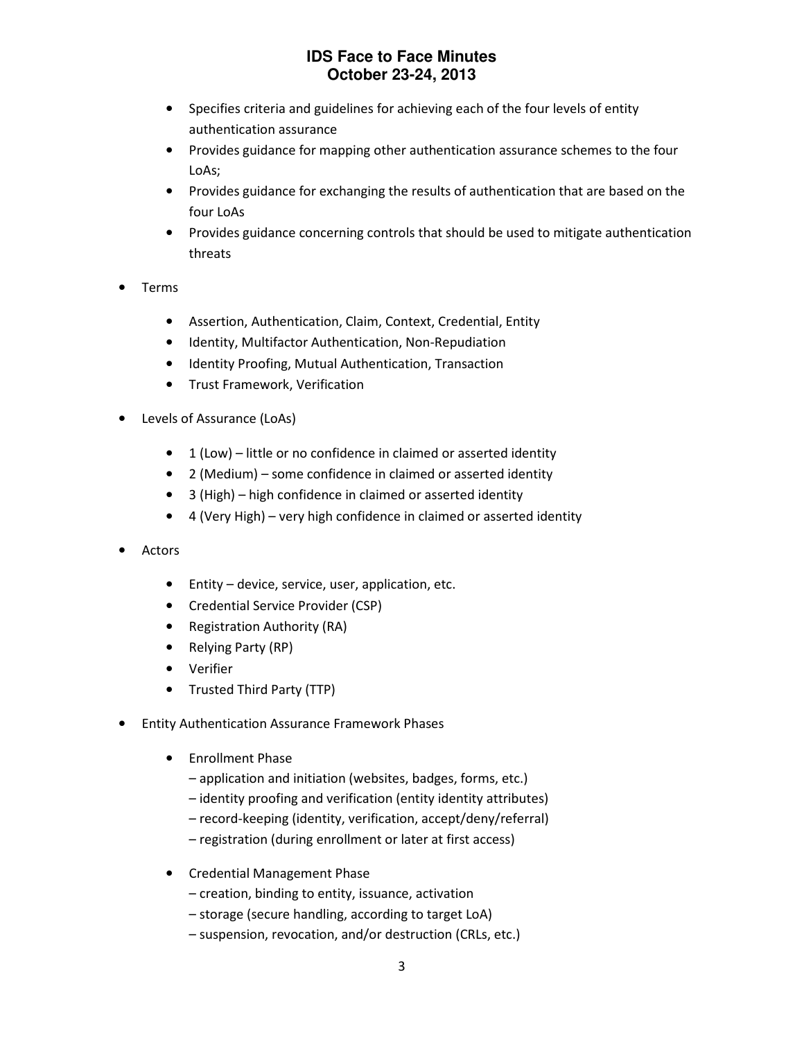- Specifies criteria and guidelines for achieving each of the four levels of entity authentication assurance
- Provides guidance for mapping other authentication assurance schemes to the four LoAs;
- Provides guidance for exchanging the results of authentication that are based on the four LoAs
- Provides guidance concerning controls that should be used to mitigate authentication threats
- Terms
	- Assertion, Authentication, Claim, Context, Credential, Entity
	- Identity, Multifactor Authentication, Non-Repudiation
	- Identity Proofing, Mutual Authentication, Transaction
	- Trust Framework, Verification
- Levels of Assurance (LoAs)
	- 1 (Low) little or no confidence in claimed or asserted identity
	- 2 (Medium) some confidence in claimed or asserted identity
	- 3 (High) high confidence in claimed or asserted identity
	- 4 (Very High) very high confidence in claimed or asserted identity
- Actors
	- Entity device, service, user, application, etc.
	- Credential Service Provider (CSP)
	- Registration Authority (RA)
	- Relying Party (RP)
	- Verifier
	- Trusted Third Party (TTP)
- Entity Authentication Assurance Framework Phases
	- Enrollment Phase
		- application and initiation (websites, badges, forms, etc.)
		- identity proofing and verification (entity identity attributes)
		- record-keeping (identity, verification, accept/deny/referral)
		- registration (during enrollment or later at first access)
	- Credential Management Phase
		- creation, binding to entity, issuance, activation
		- storage (secure handling, according to target LoA)
		- suspension, revocation, and/or destruction (CRLs, etc.)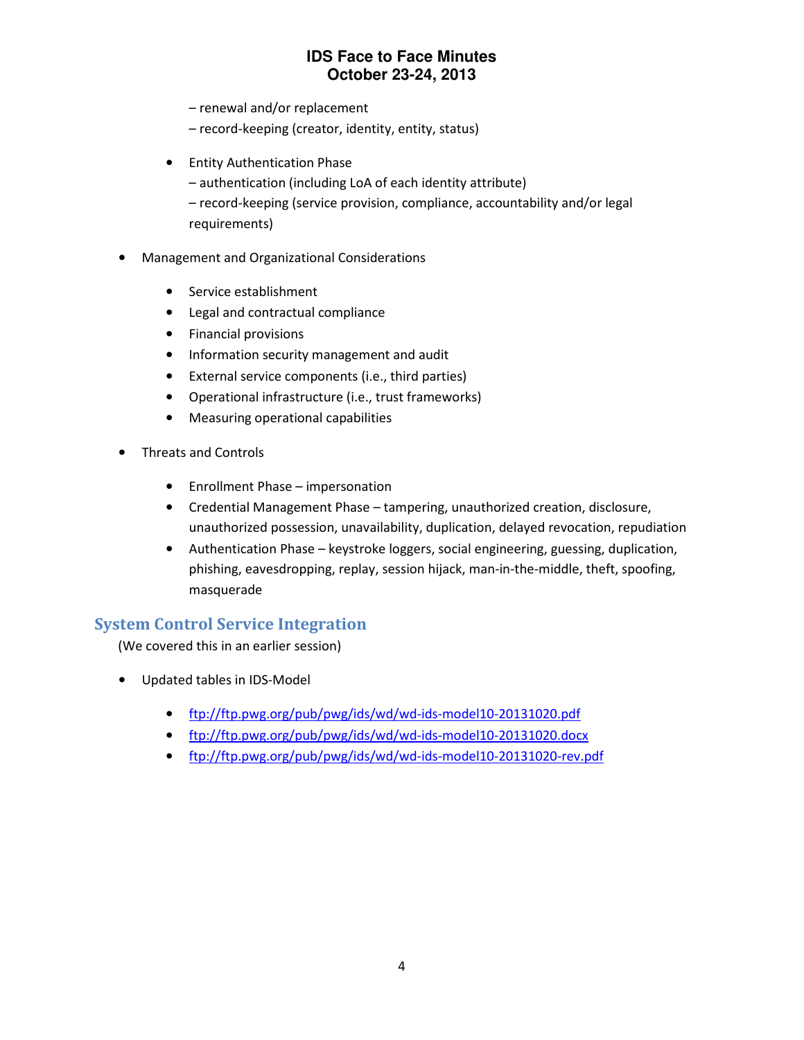- renewal and/or replacement
- record-keeping (creator, identity, entity, status)
- Entity Authentication Phase
	- authentication (including LoA of each identity attribute)
	- record-keeping (service provision, compliance, accountability and/or legal requirements)
- Management and Organizational Considerations
	- Service establishment
	- Legal and contractual compliance
	- Financial provisions
	- Information security management and audit
	- External service components (i.e., third parties)
	- Operational infrastructure (i.e., trust frameworks)
	- Measuring operational capabilities
- Threats and Controls
	- Enrollment Phase impersonation
	- Credential Management Phase tampering, unauthorized creation, disclosure, unauthorized possession, unavailability, duplication, delayed revocation, repudiation
	- Authentication Phase keystroke loggers, social engineering, guessing, duplication, phishing, eavesdropping, replay, session hijack, man-in-the-middle, theft, spoofing, masquerade

### System Control Service Integration

(We covered this in an earlier session)

- Updated tables in IDS-Model
	- ftp://ftp.pwg.org/pub/pwg/ids/wd/wd-ids-model10-20131020.pdf
	- ftp://ftp.pwg.org/pub/pwg/ids/wd/wd-ids-model10-20131020.docx
	- ftp://ftp.pwg.org/pub/pwg/ids/wd/wd-ids-model10-20131020-rev.pdf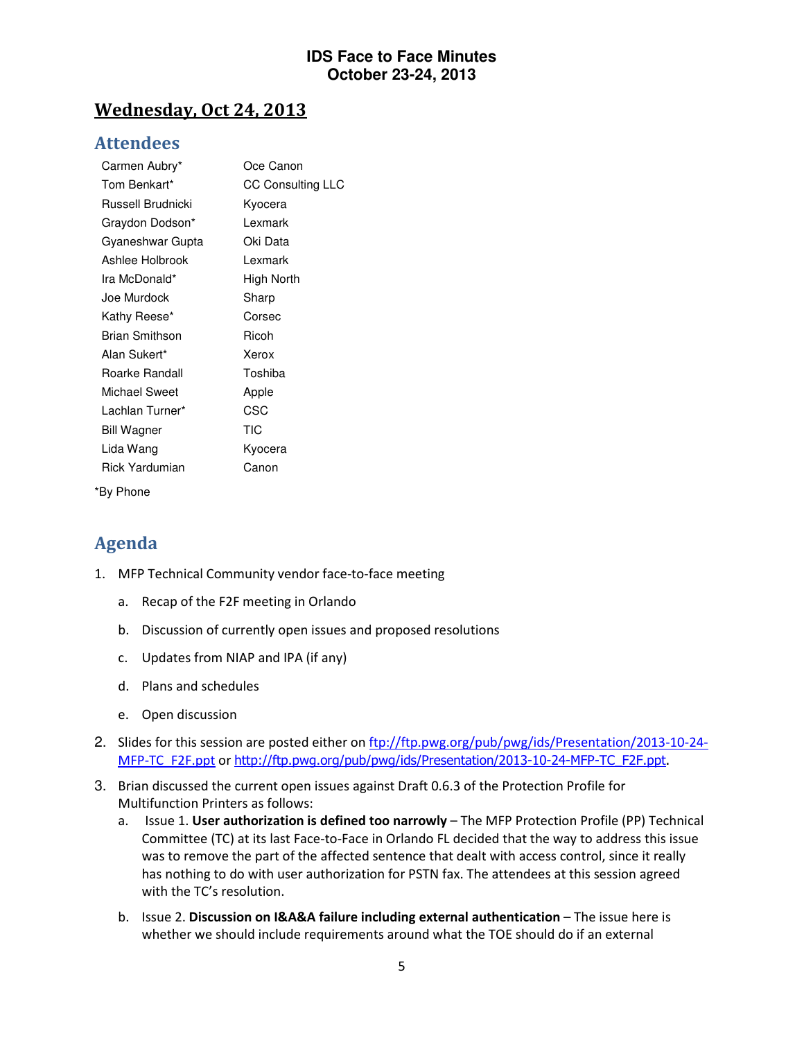## Wednesday, Oct 24, 2013

### Attendees

| Carmen Aubry*         | Oce Canon                |
|-----------------------|--------------------------|
| Tom Benkart*          | <b>CC Consulting LLC</b> |
| Russell Brudnicki     | Kyocera                  |
| Graydon Dodson*       | Lexmark                  |
| Gyaneshwar Gupta      | Oki Data                 |
| Ashlee Holbrook       | Lexmark                  |
| Ira McDonald*         | High North               |
| Joe Murdock           | Sharp                    |
| Kathy Reese*          | Corsec                   |
| <b>Brian Smithson</b> | Ricoh                    |
| Alan Sukert*          | Xerox                    |
| Roarke Randall        | Toshiba                  |
| Michael Sweet         | Apple                    |
| Lachlan Turner*       | CSC                      |
| <b>Bill Wagner</b>    | <b>TIC</b>               |
| Lida Wang             | Kyocera                  |
| <b>Rick Yardumian</b> | Canon                    |
|                       |                          |

\*By Phone

# Agenda

- 1. MFP Technical Community vendor face-to-face meeting
	- a. Recap of the F2F meeting in Orlando
	- b. Discussion of currently open issues and proposed resolutions
	- c. Updates from NIAP and IPA (if any)
	- d. Plans and schedules
	- e. Open discussion
- 2. Slides for this session are posted either on ftp://ftp.pwg.org/pub/pwg/ids/Presentation/2013-10-24-MFP-TC\_F2F.ppt or http://ftp.pwg.org/pub/pwg/ids/Presentation/2013-10-24-MFP-TC\_F2F.ppt.
- 3. Brian discussed the current open issues against Draft 0.6.3 of the Protection Profile for Multifunction Printers as follows:
	- a. Issue 1. User authorization is defined too narrowly The MFP Protection Profile (PP) Technical Committee (TC) at its last Face-to-Face in Orlando FL decided that the way to address this issue was to remove the part of the affected sentence that dealt with access control, since it really has nothing to do with user authorization for PSTN fax. The attendees at this session agreed with the TC's resolution.
	- b. Issue 2. Discussion on I&A&A failure including external authentication The issue here is whether we should include requirements around what the TOE should do if an external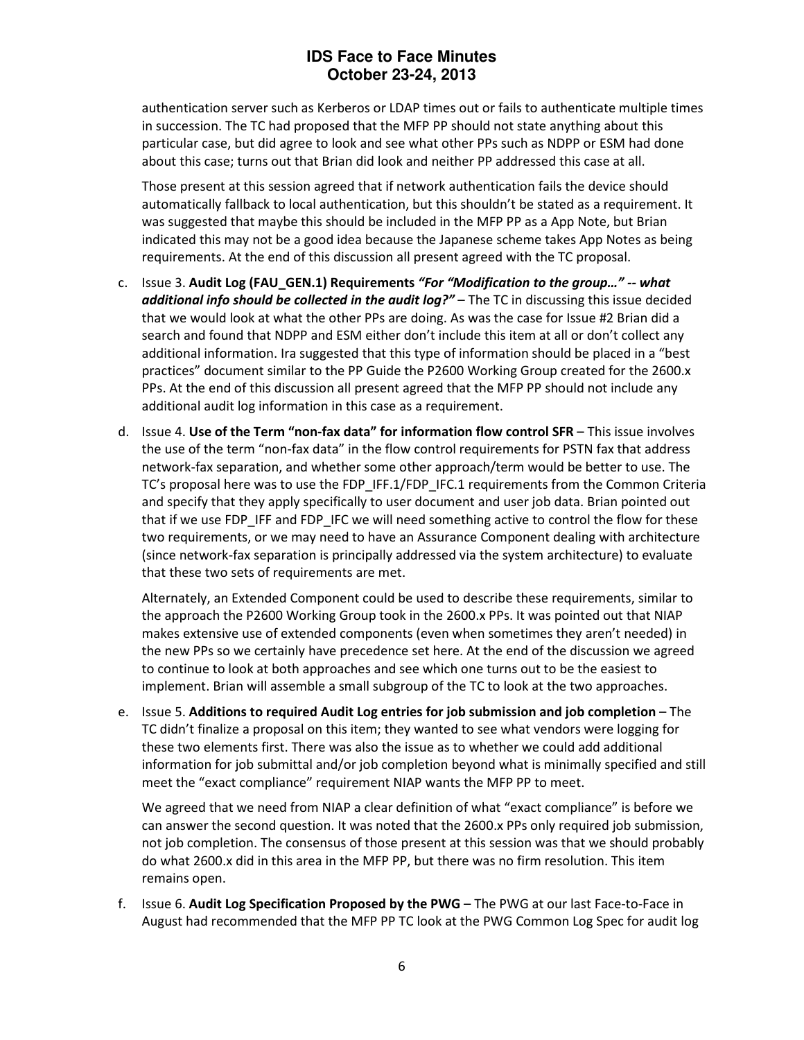authentication server such as Kerberos or LDAP times out or fails to authenticate multiple times in succession. The TC had proposed that the MFP PP should not state anything about this particular case, but did agree to look and see what other PPs such as NDPP or ESM had done about this case; turns out that Brian did look and neither PP addressed this case at all.

Those present at this session agreed that if network authentication fails the device should automatically fallback to local authentication, but this shouldn't be stated as a requirement. It was suggested that maybe this should be included in the MFP PP as a App Note, but Brian indicated this may not be a good idea because the Japanese scheme takes App Notes as being requirements. At the end of this discussion all present agreed with the TC proposal.

- c. Issue 3. Audit Log (FAU\_GEN.1) Requirements "For "Modification to the group..." -- what additional info should be collected in the audit log?" – The TC in discussing this issue decided that we would look at what the other PPs are doing. As was the case for Issue #2 Brian did a search and found that NDPP and ESM either don't include this item at all or don't collect any additional information. Ira suggested that this type of information should be placed in a "best practices" document similar to the PP Guide the P2600 Working Group created for the 2600.x PPs. At the end of this discussion all present agreed that the MFP PP should not include any additional audit log information in this case as a requirement.
- d. Issue 4. Use of the Term "non-fax data" for information flow control SFR This issue involves the use of the term "non-fax data" in the flow control requirements for PSTN fax that address network-fax separation, and whether some other approach/term would be better to use. The TC's proposal here was to use the FDP\_IFF.1/FDP\_IFC.1 requirements from the Common Criteria and specify that they apply specifically to user document and user job data. Brian pointed out that if we use FDP\_IFF and FDP\_IFC we will need something active to control the flow for these two requirements, or we may need to have an Assurance Component dealing with architecture (since network-fax separation is principally addressed via the system architecture) to evaluate that these two sets of requirements are met.

Alternately, an Extended Component could be used to describe these requirements, similar to the approach the P2600 Working Group took in the 2600.x PPs. It was pointed out that NIAP makes extensive use of extended components (even when sometimes they aren't needed) in the new PPs so we certainly have precedence set here. At the end of the discussion we agreed to continue to look at both approaches and see which one turns out to be the easiest to implement. Brian will assemble a small subgroup of the TC to look at the two approaches.

e. Issue 5. Additions to required Audit Log entries for job submission and job completion – The TC didn't finalize a proposal on this item; they wanted to see what vendors were logging for these two elements first. There was also the issue as to whether we could add additional information for job submittal and/or job completion beyond what is minimally specified and still meet the "exact compliance" requirement NIAP wants the MFP PP to meet.

We agreed that we need from NIAP a clear definition of what "exact compliance" is before we can answer the second question. It was noted that the 2600.x PPs only required job submission, not job completion. The consensus of those present at this session was that we should probably do what 2600.x did in this area in the MFP PP, but there was no firm resolution. This item remains open.

f. Issue 6. Audit Log Specification Proposed by the PWG – The PWG at our last Face-to-Face in August had recommended that the MFP PP TC look at the PWG Common Log Spec for audit log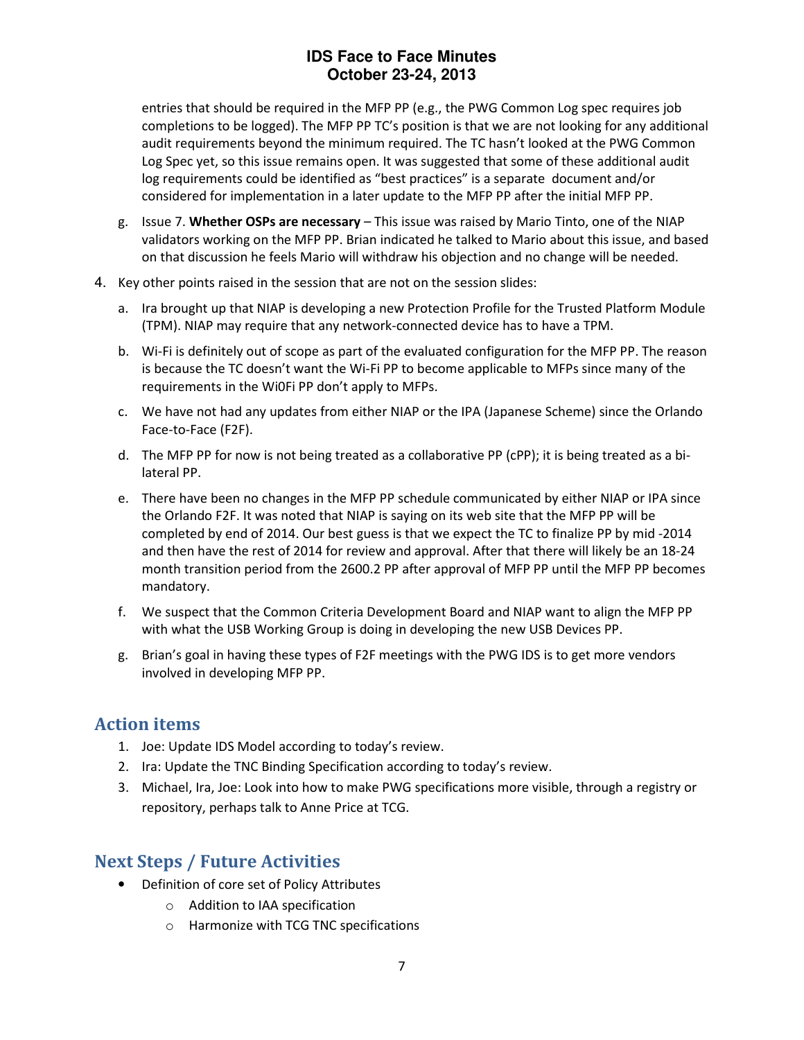entries that should be required in the MFP PP (e.g., the PWG Common Log spec requires job completions to be logged). The MFP PP TC's position is that we are not looking for any additional audit requirements beyond the minimum required. The TC hasn't looked at the PWG Common Log Spec yet, so this issue remains open. It was suggested that some of these additional audit log requirements could be identified as "best practices" is a separate document and/or considered for implementation in a later update to the MFP PP after the initial MFP PP.

- g. Issue 7. Whether OSPs are necessary This issue was raised by Mario Tinto, one of the NIAP validators working on the MFP PP. Brian indicated he talked to Mario about this issue, and based on that discussion he feels Mario will withdraw his objection and no change will be needed.
- 4. Key other points raised in the session that are not on the session slides:
	- a. Ira brought up that NIAP is developing a new Protection Profile for the Trusted Platform Module (TPM). NIAP may require that any network-connected device has to have a TPM.
	- b. Wi-Fi is definitely out of scope as part of the evaluated configuration for the MFP PP. The reason is because the TC doesn't want the Wi-Fi PP to become applicable to MFPs since many of the requirements in the Wi0Fi PP don't apply to MFPs.
	- c. We have not had any updates from either NIAP or the IPA (Japanese Scheme) since the Orlando Face-to-Face (F2F).
	- d. The MFP PP for now is not being treated as a collaborative PP (cPP); it is being treated as a bilateral PP.
	- e. There have been no changes in the MFP PP schedule communicated by either NIAP or IPA since the Orlando F2F. It was noted that NIAP is saying on its web site that the MFP PP will be completed by end of 2014. Our best guess is that we expect the TC to finalize PP by mid -2014 and then have the rest of 2014 for review and approval. After that there will likely be an 18-24 month transition period from the 2600.2 PP after approval of MFP PP until the MFP PP becomes mandatory.
	- f. We suspect that the Common Criteria Development Board and NIAP want to align the MFP PP with what the USB Working Group is doing in developing the new USB Devices PP.
	- g. Brian's goal in having these types of F2F meetings with the PWG IDS is to get more vendors involved in developing MFP PP.

## Action items

- 1. Joe: Update IDS Model according to today's review.
- 2. Ira: Update the TNC Binding Specification according to today's review.
- 3. Michael, Ira, Joe: Look into how to make PWG specifications more visible, through a registry or repository, perhaps talk to Anne Price at TCG.

## Next Steps / Future Activities

- Definition of core set of Policy Attributes
	- o Addition to IAA specification
	- o Harmonize with TCG TNC specifications